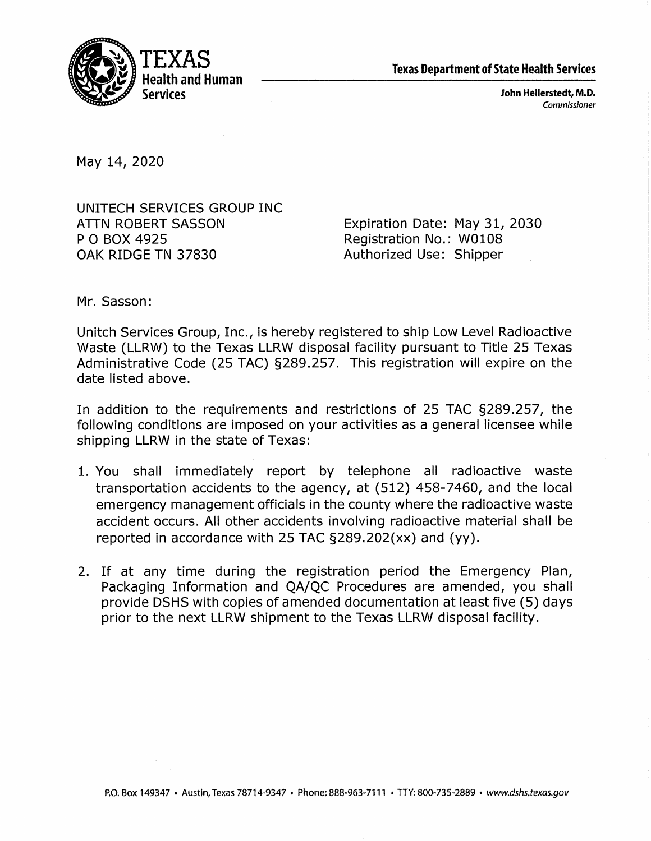

John Hellerstedt, M.D. Commissioner

May 14, 2020

UNITECH SERVICES GROUP INC **ATTN ROBERT SASSON** P O BOX 4925 OAK RIDGE TN 37830

Expiration Date: May 31, 2030 Registration No.: W0108 Authorized Use: Shipper

Mr. Sasson:

Unitch Services Group, Inc., is hereby registered to ship Low Level Radioactive Waste (LLRW) to the Texas LLRW disposal facility pursuant to Title 25 Texas Administrative Code (25 TAC) §289.257. This registration will expire on the date listed above.

In addition to the requirements and restrictions of 25 TAC §289.257, the following conditions are imposed on your activities as a general licensee while shipping LLRW in the state of Texas:

- 1. You shall immediately report by telephone all radioactive waste transportation accidents to the agency, at (512) 458-7460, and the local emergency management officials in the county where the radioactive waste accident occurs. All other accidents involving radioactive material shall be reported in accordance with 25 TAC §289.202(xx) and (yy).
- 2. If at any time during the registration period the Emergency Plan, Packaging Information and QA/QC Procedures are amended, you shall provide DSHS with copies of amended documentation at least five (5) days prior to the next LLRW shipment to the Texas LLRW disposal facility.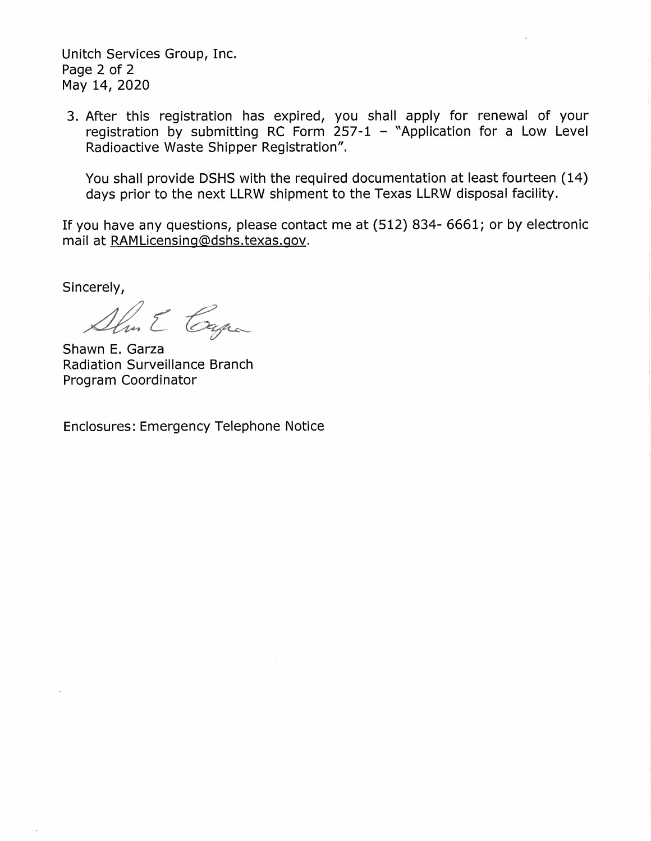Unitch Services Group, Inc. Page 2 of 2 May 14, 2020

3. After this registration has expired, you shall apply for renewal of your registration by submitting RC Form  $257-1$  – "Application for a Low Level Radioactive Waste Shipper Registration".

You shall provide DSHS with the required documentation at least fourteen (14) days prior to the next LLRW shipment to the Texas LLRW disposal facility.

If you have any questions, please contact me at (512) 834- 6661; or by electronic mail at RAMLicensing@dshs.texas.gov.

Sincerely,

Show & Capa

Shawn E. Garza **Radiation Surveillance Branch** Program Coordinator

**Enclosures: Emergency Telephone Notice**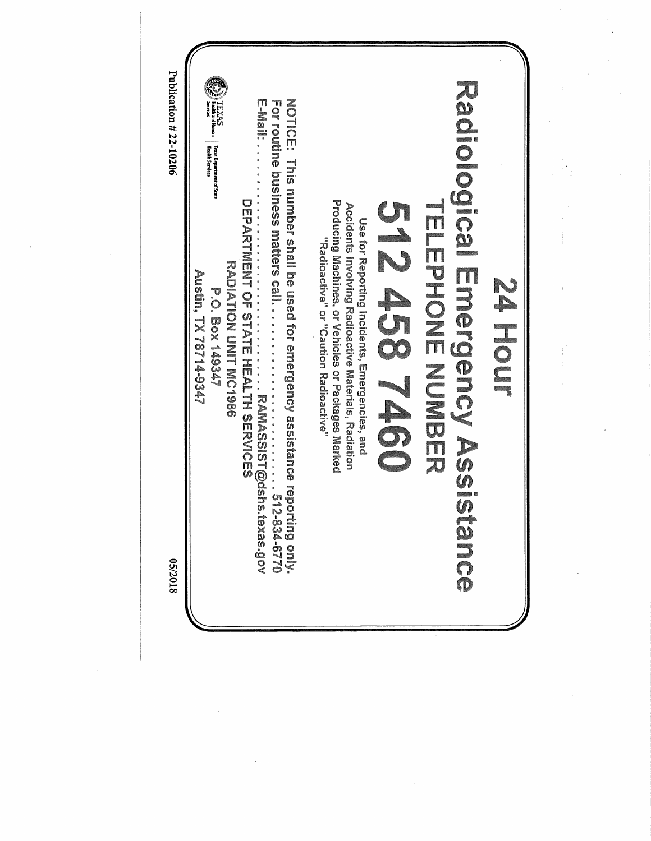| <b>PARK TEXAS</b><br>Texas Department of State<br>Health Services<br>RADIALION CIANGS<br>Austin, TX 78714-9347<br>P.O. Box 149347                                                                  |
|----------------------------------------------------------------------------------------------------------------------------------------------------------------------------------------------------|
| <b>CHARGONASSIST@dsh<br/>DEPARTMENT OF STATE HEALTH SERVICES</b><br>stexas.gov                                                                                                                     |
| Producing Machines, or Vehicles or Packages Marked<br>Accidents Involving Radioactive Materials, Radiation<br>Use for Reporting Incidencial Concies, and<br>"Nadioactive" or "Carrior Radioactive" |
| 5124587460                                                                                                                                                                                         |
| Radiological Emergency Assistance<br><b>ELEPHONE NURER</b>                                                                                                                                         |
| <b>Z4 HOUT</b>                                                                                                                                                                                     |

 $\hat{\boldsymbol{\beta}}$ 

 $\sim 10^{-1}$ 

 $\frac{1}{2}$ 

 $\frac{1}{2}$  ,  $\frac{1}{2}$ 

 $\frac{1}{\sqrt{2}}\left( \frac{1}{\sqrt{2}}\right) ^{2}$ 

 $\hat{r}$ 

 $\frac{1}{2}$ 

 $\sim 3\%$ 

Ŷ,

 $\frac{1}{2}$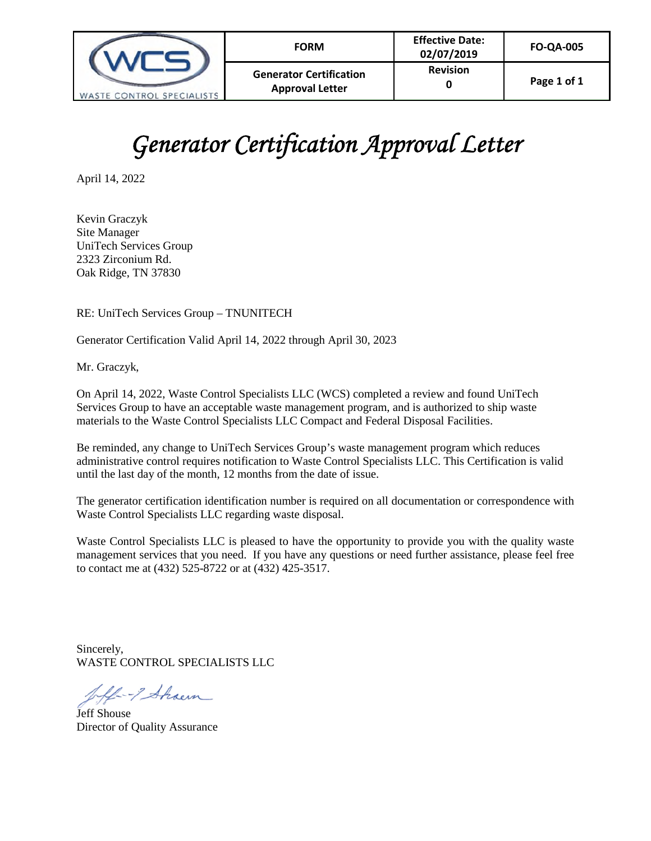

# *Generator Certification Approval Letter*

April 14, 2022

Kevin Graczyk Site Manager UniTech Services Group 2323 Zirconium Rd. Oak Ridge, TN 37830

RE: UniTech Services Group – TNUNITECH

Generator Certification Valid April 14, 2022 through April 30, 2023

Mr. Graczyk,

On April 14, 2022, Waste Control Specialists LLC (WCS) completed a review and found UniTech Services Group to have an acceptable waste management program, and is authorized to ship waste materials to the Waste Control Specialists LLC Compact and Federal Disposal Facilities.

Be reminded, any change to UniTech Services Group's waste management program which reduces administrative control requires notification to Waste Control Specialists LLC. This Certification is valid until the last day of the month, 12 months from the date of issue.

The generator certification identification number is required on all documentation or correspondence with Waste Control Specialists LLC regarding waste disposal.

Waste Control Specialists LLC is pleased to have the opportunity to provide you with the quality waste management services that you need. If you have any questions or need further assistance, please feel free to contact me at (432) 525-8722 or at (432) 425-3517.

Sincerely, WASTE CONTROL SPECIALISTS LLC

1-9 Shoem

Jeff Shouse Director of Quality Assurance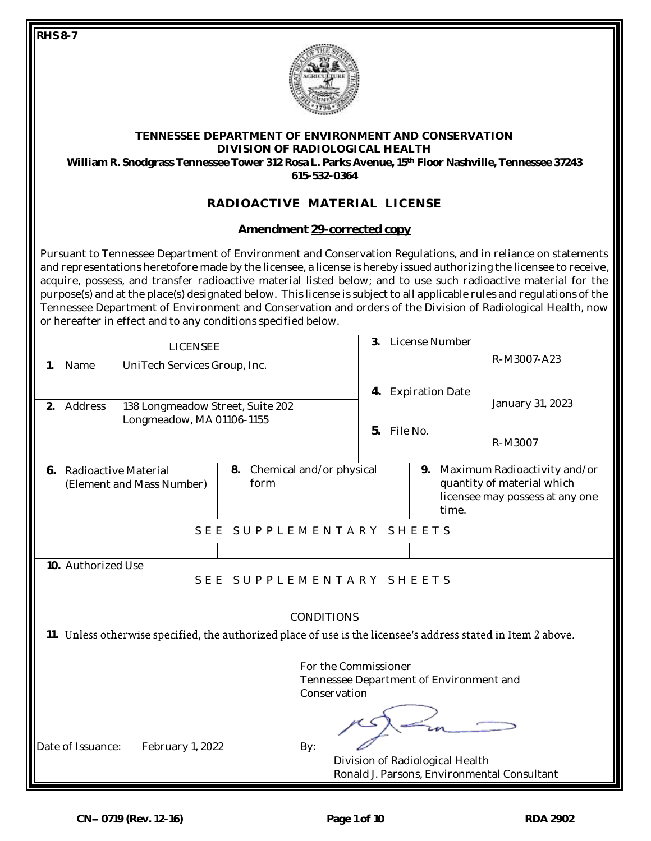**RHS 8-7**



| TENNESSEE DEPARTMENT OF ENVIRONMENT AND CONSERVATION<br>DIVISION OF RADIOLOGICAL HEALTH<br>William R. Snodgrass Tennessee Tower 312 Rosa L. Parks Avenue, 15 <sup>th</sup> Floor Nashville, Tennessee 37243<br>615-532-0364                                                                                                                                                                                                                                                                                                                                                                                                                                      |                                                  |
|------------------------------------------------------------------------------------------------------------------------------------------------------------------------------------------------------------------------------------------------------------------------------------------------------------------------------------------------------------------------------------------------------------------------------------------------------------------------------------------------------------------------------------------------------------------------------------------------------------------------------------------------------------------|--------------------------------------------------|
| RADIOACTIVE MATERIAL LICENSE                                                                                                                                                                                                                                                                                                                                                                                                                                                                                                                                                                                                                                     |                                                  |
| Amendment 29-corrected copy                                                                                                                                                                                                                                                                                                                                                                                                                                                                                                                                                                                                                                      |                                                  |
| Pursuant to Tennessee Department of Environment and Conservation Regulations, and in reliance on statements<br>and representations heretofore made by the licensee, a license is hereby issued authorizing the licensee to receive,<br>acquire, possess, and transfer radioactive material listed below; and to use such radioactive material for the<br>purpose(s) and at the place(s) designated below. This license is subject to all applicable rules and regulations of the<br>Tennessee Department of Environment and Conservation and orders of the Division of Radiological Health, now<br>or hereafter in effect and to any conditions specified below. |                                                  |
| <b>LICENSEE</b><br>UniTech Services Group, Inc.<br>Name<br>$\mathbf{1}$ .                                                                                                                                                                                                                                                                                                                                                                                                                                                                                                                                                                                        | License Number<br>$\mathcal{E}$<br>R-M3007-A23   |
| 138 Longmeadow Street, Suite 202<br>2.<br>Address<br>Longmeadow, MA 01106-1155                                                                                                                                                                                                                                                                                                                                                                                                                                                                                                                                                                                   | <b>Expiration Date</b><br>4.<br>January 31, 2023 |

| Radioactive Material<br>(Element and Mass Number) | Chemical and/or physical<br>8.<br>form |  | 9. Maximum Radioactivity and/or<br>quantity of material which<br>licensee may possess at any one<br>time. |  |
|---------------------------------------------------|----------------------------------------|--|-----------------------------------------------------------------------------------------------------------|--|
| SEE SUPPLEMENTARY SHEETS                          |                                        |  |                                                                                                           |  |
|                                                   |                                        |  |                                                                                                           |  |

**5.** File No.

**10.** Authorized Use

#### S E E S U P P L E M E N T A R Y S H E E T S

CONDITIONS

11. Unless otherwise specified, the authorized place of use is the licensee's address stated in Item 2 above.

|                   |                  | For the Commissioner<br>Tennessee Department of Environment and<br>Conservation |  |
|-------------------|------------------|---------------------------------------------------------------------------------|--|
| Date of Issuance: | February 1, 2022 | By:                                                                             |  |
|                   |                  | Division of Radiological Health                                                 |  |
|                   |                  | Ronald J. Parsons, Environmental Consultant                                     |  |

R-M3007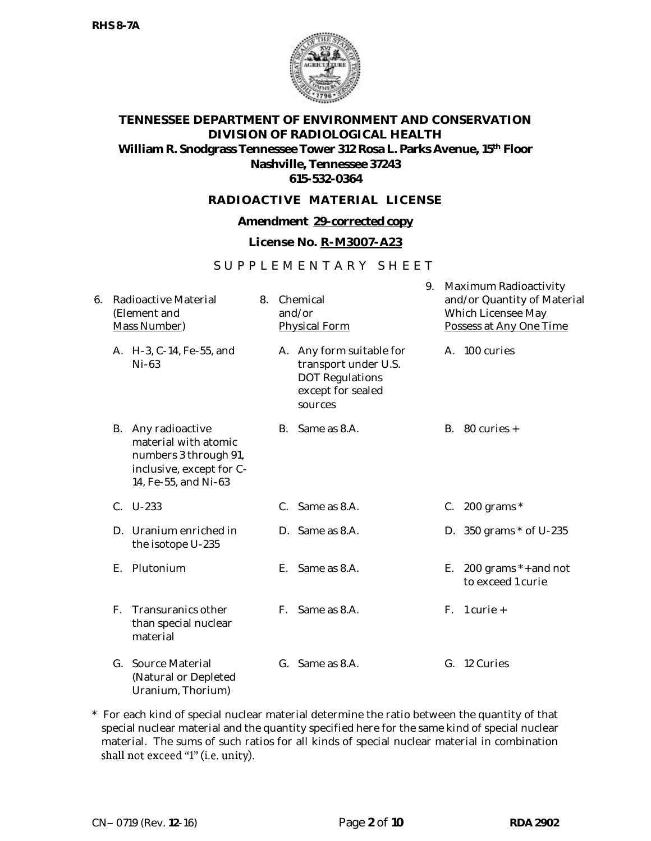

# **RADIOACTIVE MATERIAL LICENSE**

#### **Amendment 29-corrected copy**

#### **License No. R-M3007-A23**

# S U P P L E M E N T A R Y S H E E T

| 6. |             | Radioactive Material<br>(Element and<br>Mass Number)                                                                    | 8. | Chemical<br>and/or<br><b>Physical Form</b> |                                                                                                            | 9. | Maximum Radioactivity<br>and/or Quantity of Material<br>Which Licensee May<br>Possess at Any One Time |                                                 |  |
|----|-------------|-------------------------------------------------------------------------------------------------------------------------|----|--------------------------------------------|------------------------------------------------------------------------------------------------------------|----|-------------------------------------------------------------------------------------------------------|-------------------------------------------------|--|
|    |             | A. H-3, C-14, Fe-55, and<br>$Ni-63$                                                                                     |    |                                            | A. Any form suitable for<br>transport under U.S.<br><b>DOT Regulations</b><br>except for sealed<br>sources |    |                                                                                                       | A. 100 curies                                   |  |
|    |             | B. Any radioactive<br>material with atomic<br>numbers 3 through 91,<br>inclusive, except for C-<br>14, Fe-55, and Ni-63 |    |                                            | B. Same as 8.A.                                                                                            |    |                                                                                                       | B. 80 curies $+$                                |  |
|    | $C_{1}$     | $U - 233$                                                                                                               |    | $C_{\cdot}$                                | Same as 8.A.                                                                                               |    |                                                                                                       | C. 200 grams $*$                                |  |
|    |             | D. Uranium enriched in<br>the isotope U-235                                                                             |    |                                            | D. Same as 8.A.                                                                                            |    |                                                                                                       | D. $350$ grams $*$ of U-235                     |  |
|    | F.          | Plutonium                                                                                                               |    | Е.                                         | Same as 8.A.                                                                                               |    |                                                                                                       | E. 200 grams $*$ + and not<br>to exceed 1 curie |  |
|    | $F_{\perp}$ | Transuranics other<br>than special nuclear<br>material                                                                  |    | F.                                         | Same as 8.A.                                                                                               |    | F.                                                                                                    | $1$ curie $+$                                   |  |
|    | G.          | Source Material<br>(Natural or Depleted<br>Uranium, Thorium)                                                            |    |                                            | G. Same as 8.A.                                                                                            |    |                                                                                                       | G. 12 Curies                                    |  |

\* For each kind of special nuclear material determine the ratio between the quantity of that special nuclear material and the quantity specified here for the same kind of special nuclear material. The sums of such ratios for all kinds of special nuclear material in combination shall not exceed "1" (i.e. unity).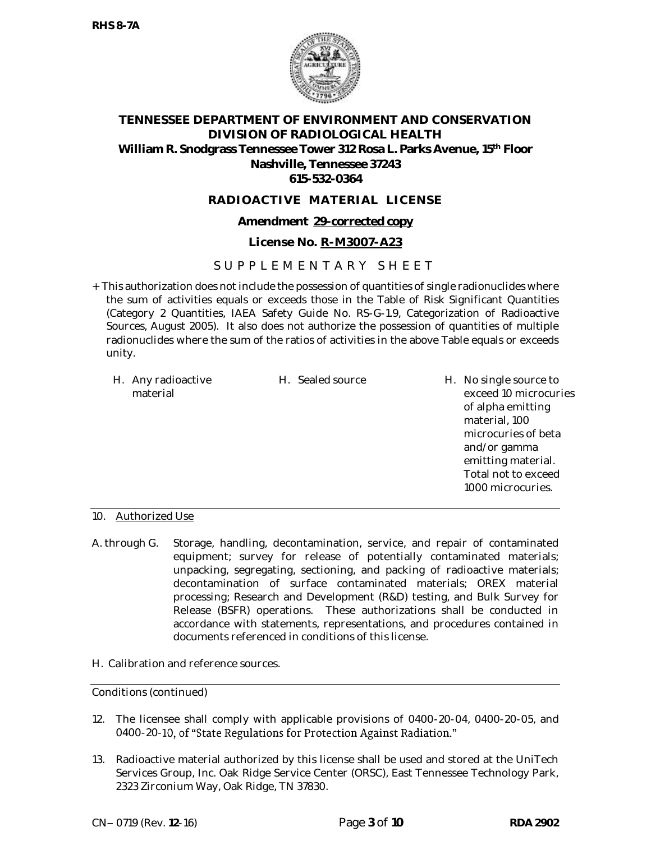

# **RADIOACTIVE MATERIAL LICENSE**

#### **Amendment 29-corrected copy**

# **License No. R-M3007-A23**

# S U P P L E M E N T A R Y S H E E T

- + This authorization does not include the possession of quantities of single radionuclides where the sum of activities equals or exceeds those in the Table of Risk Significant Quantities (Category 2 Quantities, IAEA Safety Guide No. RS-G-1.9, Categorization of Radioactive Sources, August 2005). It also does not authorize the possession of quantities of multiple radionuclides where the sum of the ratios of activities in the above Table equals or exceeds unity.
	- H. Any radioactive material

H. Sealed source H. No single source to exceed 10 microcuries of alpha emitting material, 100 microcuries of beta and/or gamma emitting material. Total not to exceed 1000 microcuries.

#### 10. Authorized Use

- A. through G. Storage, handling, decontamination, service, and repair of contaminated equipment; survey for release of potentially contaminated materials; unpacking, segregating, sectioning, and packing of radioactive materials; decontamination of surface contaminated materials; OREX material processing; Research and Development (R&D) testing, and Bulk Survey for Release (BSFR) operations. These authorizations shall be conducted in accordance with statements, representations, and procedures contained in documents referenced in conditions of this license.
- H. Calibration and reference sources.

#### Conditions (continued)

- 12. The licensee shall comply with applicable provisions of 0400-20-04, 0400-20-05, and 0400-20-10, of "State Regulations for Protection Against Radiation."
- 13. Radioactive material authorized by this license shall be used and stored at the UniTech Services Group, Inc. Oak Ridge Service Center (ORSC), East Tennessee Technology Park, 2323 Zirconium Way, Oak Ridge, TN 37830.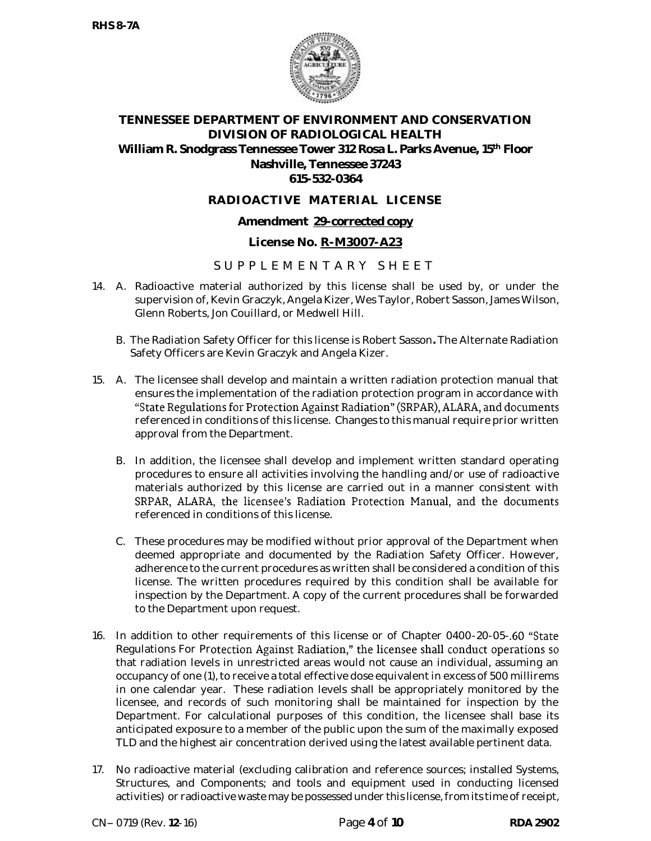

# **RADIOACTIVE MATERIAL LICENSE**

#### **Amendment 29-corrected copy**

#### **License No. R-M3007-A23**

# S U P P L E M E N T A R Y S H E E T

- 14. A. Radioactive material authorized by this license shall be used by, or under the supervision of, Kevin Graczyk, Angela Kizer, Wes Taylor, Robert Sasson, James Wilson, Glenn Roberts, Jon Couillard, or Medwell Hill.
	- B. The Radiation Safety Officer for this license is Robert Sasson**.** The Alternate Radiation Safety Officers are Kevin Graczyk and Angela Kizer.
- 15. A. The licensee shall develop and maintain a written radiation protection manual that ensures the implementation of the radiation protection program in accordance with "State Regulations for Protection Against Radiation" (SRPAR), ALARA, and documents referenced in conditions of this license. Changes to this manual require prior written approval from the Department.
	- B. In addition, the licensee shall develop and implement written standard operating procedures to ensure all activities involving the handling and/or use of radioactive materials authorized by this license are carried out in a manner consistent with SRPAR, ALARA, the licensee's Radiation Protection Manual, and the documents referenced in conditions of this license.
	- C. These procedures may be modified without prior approval of the Department when deemed appropriate and documented by the Radiation Safety Officer. However, adherence to the current procedures as written shall be considered a condition of this license. The written procedures required by this condition shall be available for inspection by the Department. A copy of the current procedures shall be forwarded to the Department upon request.
- 16. In addition to other requirements of this license or of Chapter 0400-20-05-.60 "State Regulations For Protection Against Radiation," the licensee shall conduct operations so that radiation levels in unrestricted areas would not cause an individual, assuming an occupancy of one (1), to receive a total effective dose equivalent in excess of 500 millirems in one calendar year. These radiation levels shall be appropriately monitored by the licensee, and records of such monitoring shall be maintained for inspection by the Department. For calculational purposes of this condition, the licensee shall base its anticipated exposure to a member of the public upon the sum of the maximally exposed TLD and the highest air concentration derived using the latest available pertinent data.
- 17. No radioactive material (excluding calibration and reference sources; installed Systems, Structures, and Components; and tools and equipment used in conducting licensed activities) or radioactive waste may be possessed under this license, from its time of receipt,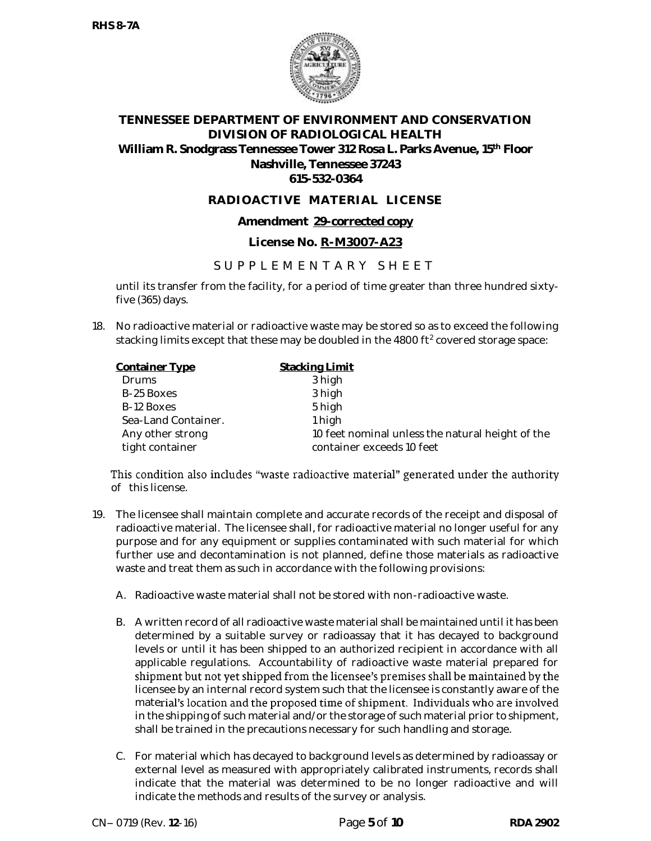

# **RADIOACTIVE MATERIAL LICENSE**

#### **Amendment 29-corrected copy**

#### **License No. R-M3007-A23**

# S U P P L E M E N T A R Y S H E E T

until its transfer from the facility, for a period of time greater than three hundred sixtyfive (365) days.

18. No radioactive material or radioactive waste may be stored so as to exceed the following stacking limits except that these may be doubled in the  $4800$  ft<sup>2</sup> covered storage space:

| <b>Container Type</b> | <b>Stacking Limit</b>                            |
|-----------------------|--------------------------------------------------|
| <b>Drums</b>          | 3 high                                           |
| B-25 Boxes            | 3 high                                           |
| B-12 Boxes            | 5 high                                           |
| Sea-Land Container.   | 1 high                                           |
| Any other strong      | 10 feet nominal unless the natural height of the |
| tight container       | container exceeds 10 feet                        |

#### This condition also includes "waste radioactive material" generated under the authority of this license.

- 19. The licensee shall maintain complete and accurate records of the receipt and disposal of radioactive material. The licensee shall, for radioactive material no longer useful for any purpose and for any equipment or supplies contaminated with such material for which further use and decontamination is not planned, define those materials as radioactive waste and treat them as such in accordance with the following provisions:
	- A. Radioactive waste material shall not be stored with non-radioactive waste.
	- B. A written record of all radioactive waste material shall be maintained until it has been determined by a suitable survey or radioassay that it has decayed to background levels or until it has been shipped to an authorized recipient in accordance with all applicable regulations. Accountability of radioactive waste material prepared for shipment but not yet shipped from the licensee's premises shall be maintained by the licensee by an internal record system such that the licensee is constantly aware of the material's location and the proposed time of shipment. Individuals who are involved in the shipping of such material and/or the storage of such material prior to shipment, shall be trained in the precautions necessary for such handling and storage.
	- C. For material which has decayed to background levels as determined by radioassay or external level as measured with appropriately calibrated instruments, records shall indicate that the material was determined to be no longer radioactive and will indicate the methods and results of the survey or analysis.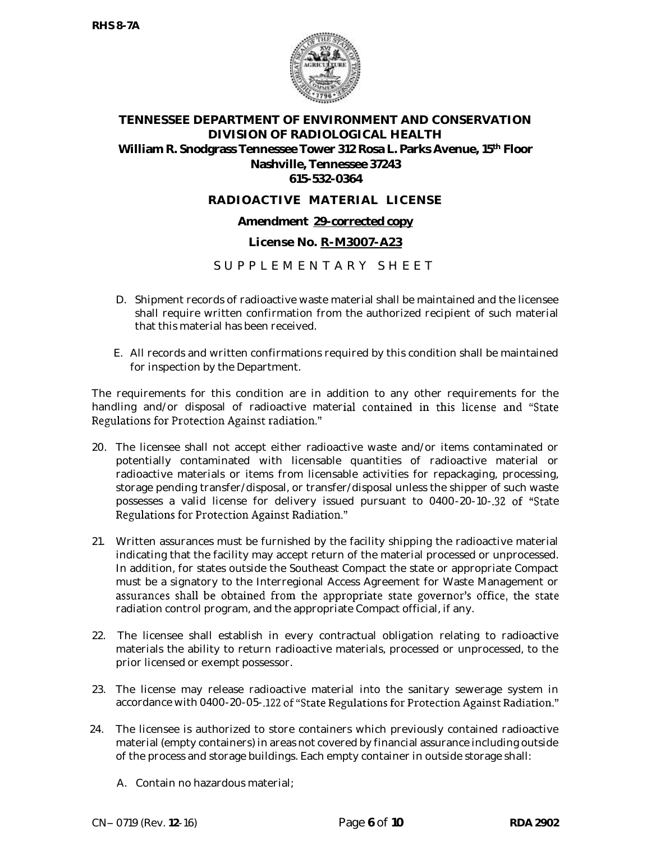

## **RADIOACTIVE MATERIAL LICENSE**

#### **Amendment 29-corrected copy**

#### **License No. R-M3007-A23**

# S U P P L E M E N T A R Y S H E E T

- D. Shipment records of radioactive waste material shall be maintained and the licensee shall require written confirmation from the authorized recipient of such material that this material has been received.
- E. All records and written confirmations required by this condition shall be maintained for inspection by the Department.

The requirements for this condition are in addition to any other requirements for the handling and/or disposal of radioactive material contained in this license and "State Regulations for Protection Against radiation."

- 20. The licensee shall not accept either radioactive waste and/or items contaminated or potentially contaminated with licensable quantities of radioactive material or radioactive materials or items from licensable activities for repackaging, processing, storage pending transfer/disposal, or transfer/disposal unless the shipper of such waste possesses a valid license for delivery issued pursuant to 0400-20-10-.32 of "State Regulations for Protection Against Radiation."
- 21. Written assurances must be furnished by the facility shipping the radioactive material indicating that the facility may accept return of the material processed or unprocessed. In addition, for states outside the Southeast Compact the state or appropriate Compact must be a signatory to the Interregional Access Agreement for Waste Management or assurances shall be obtained from the appropriate state governor's office, the state radiation control program, and the appropriate Compact official, if any.
- 22. The licensee shall establish in every contractual obligation relating to radioactive materials the ability to return radioactive materials, processed or unprocessed, to the prior licensed or exempt possessor.
- 23. The license may release radioactive material into the sanitary sewerage system in accordance with 0400-20-05-.122 of "State Regulations for Protection Against Radiation."
- 24. The licensee is authorized to store containers which previously contained radioactive material (empty containers) in areas not covered by financial assurance including outside of the process and storage buildings. Each empty container in outside storage shall:
	- A. Contain no hazardous material;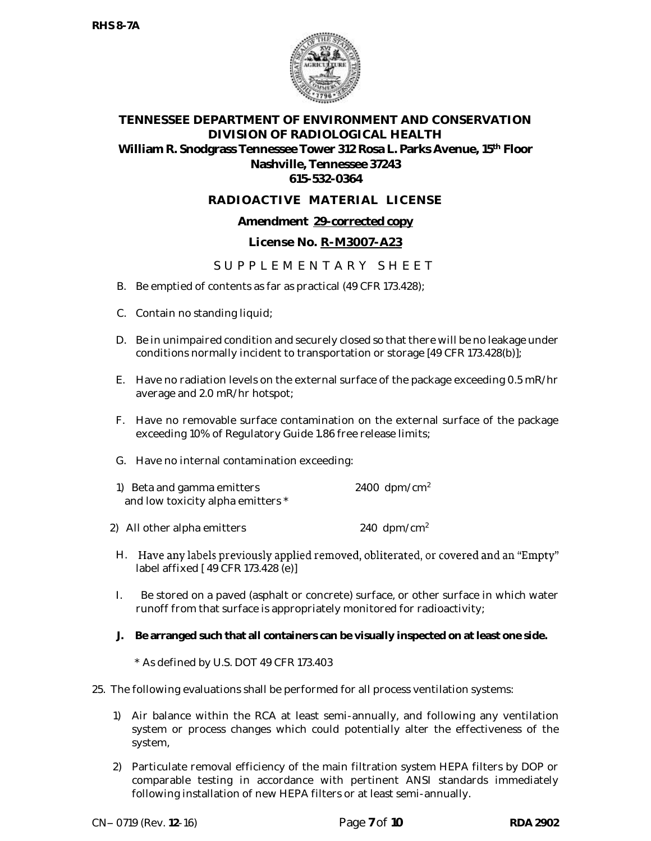

## **RADIOACTIVE MATERIAL LICENSE**

#### **Amendment 29-corrected copy**

#### **License No. R-M3007-A23**

# S U P P L E M E N T A R Y S H E E T

- B. Be emptied of contents as far as practical (49 CFR 173.428);
- C. Contain no standing liquid;
- D. Be in unimpaired condition and securely closed so that there will be no leakage under conditions normally incident to transportation or storage [49 CFR 173.428(b)];
- E. Have no radiation levels on the external surface of the package exceeding 0.5 mR/hr average and 2.0 mR/hr hotspot;
- F. Have no removable surface contamination on the external surface of the package exceeding 10% of Regulatory Guide 1.86 free release limits;
- G. Have no internal contamination exceeding:
- 1) Beta and gamma emitters 2400 dpm/cm<sup>2</sup> and low toxicity alpha emitters \*
- 2) All other alpha emitters  $240 \text{ dpm/cm}^2$
- H. Have any labels previously applied removed, obliterated, or covered and an "Empty" label affixed [ 49 CFR 173.428 (e)]
- I. Be stored on a paved (asphalt or concrete) surface, or other surface in which water runoff from that surface is appropriately monitored for radioactivity;
- **J. Be arranged such that all containers can be visually inspected on at least one side.**

\* As defined by U.S. DOT 49 CFR 173.403

25. The following evaluations shall be performed for all process ventilation systems:

- 1) Air balance within the RCA at least semi-annually, and following any ventilation system or process changes which could potentially alter the effectiveness of the system,
- 2) Particulate removal efficiency of the main filtration system HEPA filters by DOP or comparable testing in accordance with pertinent ANSI standards immediately following installation of new HEPA filters or at least semi-annually.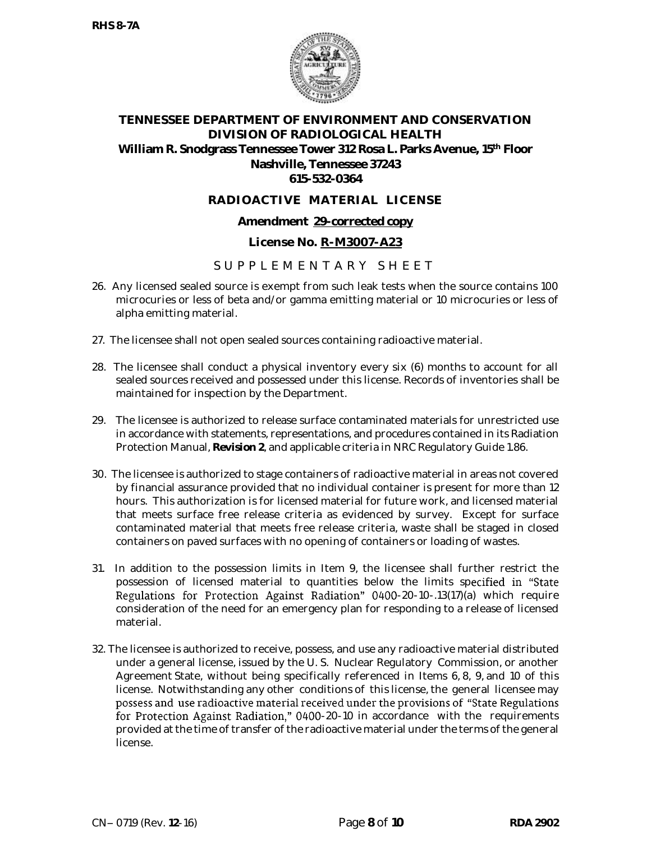

# **RADIOACTIVE MATERIAL LICENSE**

#### **Amendment 29-corrected copy**

#### **License No. R-M3007-A23**

# S U P P L E M E N T A R Y S H F E T

- 26. Any licensed sealed source is exempt from such leak tests when the source contains 100 microcuries or less of beta and/or gamma emitting material or 10 microcuries or less of alpha emitting material.
- 27. The licensee shall not open sealed sources containing radioactive material.
- 28. The licensee shall conduct a physical inventory every six (6) months to account for all sealed sources received and possessed under this license. Records of inventories shall be maintained for inspection by the Department.
- 29. The licensee is authorized to release surface contaminated materials for unrestricted use in accordance with statements, representations, and procedures contained in its Radiation Protection Manual, **Revision 2**, and applicable criteria in NRC Regulatory Guide 1.86.
- 30. The licensee is authorized to stage containers of radioactive material in areas not covered by financial assurance provided that no individual container is present for more than 12 hours. This authorization is for licensed material for future work, and licensed material that meets surface free release criteria as evidenced by survey. Except for surface contaminated material that meets free release criteria, waste shall be staged in closed containers on paved surfaces with no opening of containers or loading of wastes.
- 31. In addition to the possession limits in Item 9, the licensee shall further restrict the possession of licensed material to quantities below the limits specified in "State Regulations for Protection Against Radiation" 0400-20-10-.13(17)(a) which require consideration of the need for an emergency plan for responding to a release of licensed material.
- 32. The licensee is authorized to receive, possess, and use any radioactive material distributed under a general license, issued by the U. S. Nuclear Regulatory Commission, or another Agreement State, without being specifically referenced in Items 6, 8, 9, and 10 of this license. Notwithstanding any other conditions of this license, the general licensee may possess and use radioactive material received under the provisions of "State Regulations" for Protection Against Radiation," 0400-20-10 in accordance with the requirements provided at the time of transfer of the radioactive material under the terms of the general license.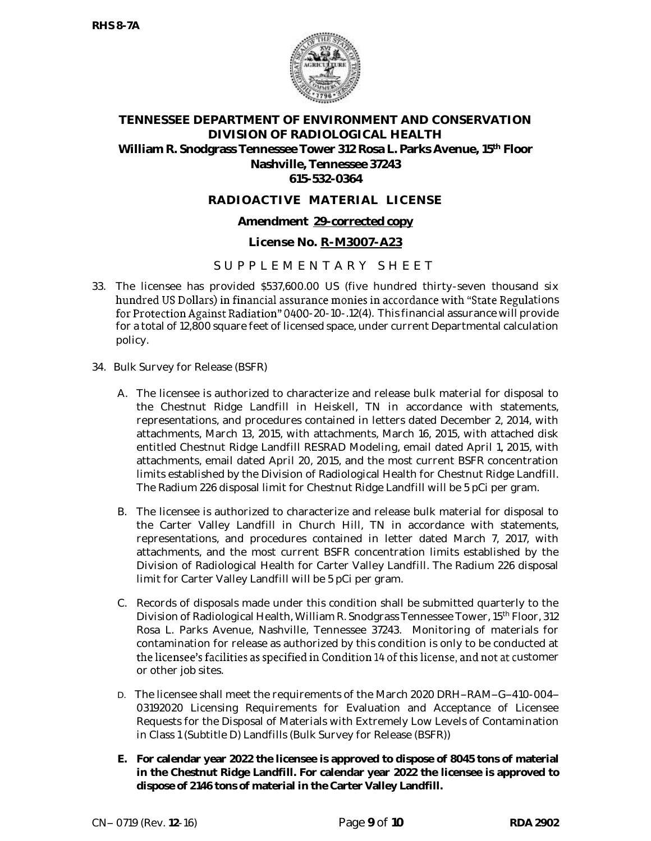

# **RADIOACTIVE MATERIAL LICENSE**

#### **Amendment 29-corrected copy**

#### **License No. R-M3007-A23**

# S U P P L E M E N T A R Y S H E E T

- 33. The licensee has provided \$537,600.00 US (five hundred thirty-seven thousand six hundred US Dollars) in financial assurance monies in accordance with "State Regulations for Protection Against Radiation" 0400-20-10-.12(4). This financial assurance will provide for a total of 12,800 square feet of licensed space, under current Departmental calculation policy.
- 34. Bulk Survey for Release (BSFR)
	- A. The licensee is authorized to characterize and release bulk material for disposal to the Chestnut Ridge Landfill in Heiskell, TN in accordance with statements, representations, and procedures contained in letters dated December 2, 2014, with attachments, March 13, 2015, with attachments, March 16, 2015, with attached disk entitled Chestnut Ridge Landfill RESRAD Modeling, email dated April 1, 2015, with attachments, email dated April 20, 2015, and the most current BSFR concentration limits established by the Division of Radiological Health for Chestnut Ridge Landfill. The Radium 226 disposal limit for Chestnut Ridge Landfill will be 5 pCi per gram.
	- B. The licensee is authorized to characterize and release bulk material for disposal to the Carter Valley Landfill in Church Hill, TN in accordance with statements, representations, and procedures contained in letter dated March 7, 2017, with attachments, and the most current BSFR concentration limits established by the Division of Radiological Health for Carter Valley Landfill. The Radium 226 disposal limit for Carter Valley Landfill will be 5 pCi per gram.
	- C. Records of disposals made under this condition shall be submitted quarterly to the Division of Radiological Health, William R. Snodgrass Tennessee Tower, 15th Floor, 312 Rosa L. Parks Avenue, Nashville, Tennessee 37243. Monitoring of materials for contamination for release as authorized by this condition is only to be conducted at the licensee's facilities as specified in Condition 14 of this license, and not at customer or other job sites.
	- D. The licensee shall meet the requirements of the March 2020 DRH-RAM-G-410-004-03192020 Licensing Requirements for Evaluation and Acceptance of Licensee Requests for the Disposal of Materials with Extremely Low Levels of Contamination in Class 1 (Subtitle D) Landfills (Bulk Survey for Release (BSFR))
	- **E. For calendar year 2022 the licensee is approved to dispose of 8045 tons of material in the Chestnut Ridge Landfill. For calendar year 2022 the licensee is approved to dispose of 2146 tons of material in the Carter Valley Landfill.**